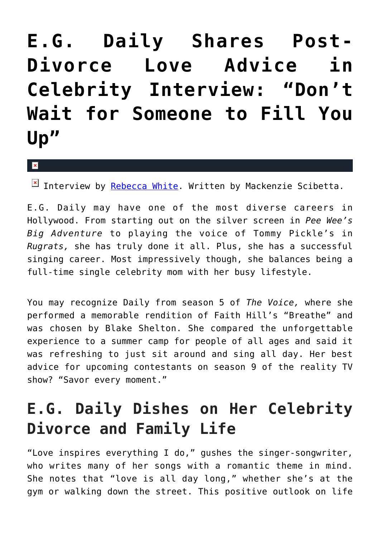## **[E.G. Daily Shares Post-](https://cupidspulse.com/99663/celebrity-interview-eg-daily-post-divorce/)[Divorce Love Advice in](https://cupidspulse.com/99663/celebrity-interview-eg-daily-post-divorce/) [Celebrity Interview: "Don't](https://cupidspulse.com/99663/celebrity-interview-eg-daily-post-divorce/) [Wait for Someone to Fill You](https://cupidspulse.com/99663/celebrity-interview-eg-daily-post-divorce/) [Up"](https://cupidspulse.com/99663/celebrity-interview-eg-daily-post-divorce/)**

 $\mathbf{R}$ 

Interview by [Rebecca White](http://cupidspulse.com/104603/rebecca-white/). Written by Mackenzie Scibetta.

E.G. Daily may have one of the most diverse careers in Hollywood. From starting out on the silver screen in *Pee Wee's Big Adventure* to playing the voice of Tommy Pickle's in *Rugrats,* she has truly done it all. Plus, she has a successful singing career. Most impressively though, she balances being a full-time single celebrity mom with her busy lifestyle.

You may recognize Daily from season 5 of *The Voice,* where she performed a memorable rendition of Faith Hill's "Breathe" and was chosen by Blake Shelton. She compared the unforgettable experience to a summer camp for people of all ages and said it was refreshing to just sit around and sing all day. Her best advice for upcoming contestants on season 9 of the reality TV show? "Savor every moment."

## **E.G. Daily Dishes on Her Celebrity Divorce and Family Life**

"Love inspires everything I do," gushes the singer-songwriter, who writes many of her songs with a romantic theme in mind. She notes that "love is all day long," whether she's at the gym or walking down the street. This positive outlook on life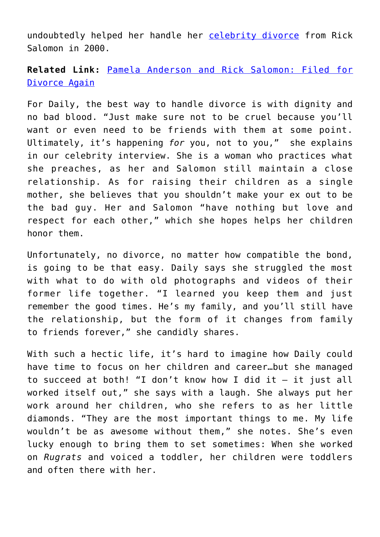undoubtedly helped her handle her [celebrity divorce](http://cupidspulse.com/celebrity-relationships/break-up-divorce/) from Rick Salomon in 2000.

**Related Link:** [Pamela Anderson and Rick Salomon: Filed for](http://cupidspulse.com/77349/pamela-anderson-rick-salomon-second-split/) [Divorce Again](http://cupidspulse.com/77349/pamela-anderson-rick-salomon-second-split/)

For Daily, the best way to handle divorce is with dignity and no bad blood. "Just make sure not to be cruel because you'll want or even need to be friends with them at some point. Ultimately, it's happening *for* you, not to you," she explains in our celebrity interview. She is a woman who practices what she preaches, as her and Salomon still maintain a close relationship. As for raising their children as a single mother, she believes that you shouldn't make your ex out to be the bad guy. Her and Salomon "have nothing but love and respect for each other," which she hopes helps her children honor them.

Unfortunately, no divorce, no matter how compatible the bond, is going to be that easy. Daily says she struggled the most with what to do with old photographs and videos of their former life together. "I learned you keep them and just remember the good times. He's my family, and you'll still have the relationship, but the form of it changes from family to friends forever," she candidly shares.

With such a hectic life, it's hard to imagine how Daily could have time to focus on her children and career…but she managed to succeed at both! "I don't know how I did it — it just all worked itself out," she says with a laugh. She always put her work around her children, who she refers to as her little diamonds. "They are the most important things to me. My life wouldn't be as awesome without them," she notes. She's even lucky enough to bring them to set sometimes: When she worked on *Rugrats* and voiced a toddler, her children were toddlers and often there with her.